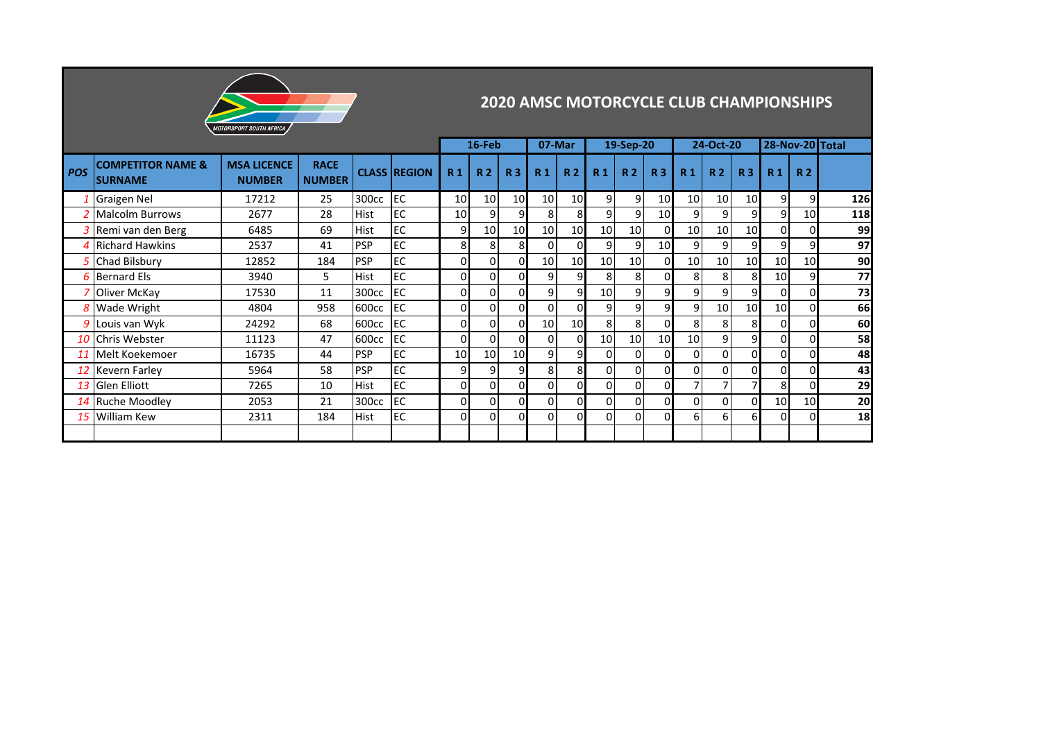

## **2020 AMSC MOTORCYCLE CLUB CHAMPIONSHIPS**

|            |                                                |                                     |                              |             |                     | 16-Feb          |                 | 07-Mar         |                | 19-Sep-20      |                |                 | 24-Oct-20       |                 |                | 28-Nov-20 Total |                |                 |     |
|------------|------------------------------------------------|-------------------------------------|------------------------------|-------------|---------------------|-----------------|-----------------|----------------|----------------|----------------|----------------|-----------------|-----------------|-----------------|----------------|-----------------|----------------|-----------------|-----|
| <b>POS</b> | <b>COMPETITOR NAME &amp;</b><br><b>SURNAME</b> | <b>MSA LICENCE</b><br><b>NUMBER</b> | <b>RACE</b><br><b>NUMBER</b> |             | <b>CLASS REGION</b> | R <sub>1</sub>  | <b>R2</b>       | R <sub>3</sub> | R <sub>1</sub> | R <sub>2</sub> | R <sub>1</sub> | R <sub>2</sub>  | R <sub>3</sub>  | R <sub>1</sub>  | R <sub>2</sub> | R <sub>3</sub>  | R <sub>1</sub> | R <sub>2</sub>  |     |
|            | <b>Graigen Nel</b>                             | 17212                               | 25                           | 300cc       | <b>IEC</b>          | 10              | 10 <sup>1</sup> | 10             | 10             | 10             | 9              | $\overline{9}$  | 10              | 10              | 10             | 10              | 9              | 9               | 126 |
|            | <b>Malcolm Burrows</b>                         | 2677                                | 28                           | Hist        | lec                 | 10 <sup>1</sup> | 9               | 9              | 8              | 8              | 9              | 9               | 10              | 9               | 9              | 9               | 9              | 10              | 118 |
|            | 3 Remi van den Berg                            | 6485                                | 69                           | <b>Hist</b> | lec                 | 9               | 10 <sup>1</sup> | 10             | 10             | 10             | 10             | 10              | 0               | 10 <sup>1</sup> | 10             | 10              | $\Omega$       |                 | 99  |
|            | <b>Richard Hawkins</b>                         | 2537                                | 41                           | <b>PSP</b>  | <b>IEC</b>          | 8 <sub>1</sub>  | 8 <sub>l</sub>  | 8              | οI             |                | 9              | 9 <sub>l</sub>  | 10 <sup>1</sup> | 9               | $\overline{9}$ | 9               | 9              | 9               | 97  |
|            | Chad Bilsbury                                  | 12852                               | 184                          | <b>PSP</b>  | EC                  | $\mathbf{0}$    | οI              | $\overline{0}$ | 10             | 10             | 10             | 10              | 0               | 10 <sup>1</sup> | 10             | 10              | 10             | 10 <sup>1</sup> | 90  |
|            | <b>6</b> Bernard Els                           | 3940                                | 5                            | <b>Hist</b> | <b>IEC</b>          | $\mathbf{0}$    | $\mathbf{0}$    | 0              | $\overline{9}$ | 9              | 8              | 8               | οI              | 8               | 8              | 8               | 10             | 9               | 77  |
|            | Oliver McKay                                   | 17530                               | 11                           | 300cc       | <b>IEC</b>          | $\Omega$        | Οl              | $\Omega$       | 9 <sub>l</sub> | 9              | 10             | 9               | ا9              | 9               | $\overline{9}$ | 9 <sub>l</sub>  | $\Omega$       |                 | 73  |
|            | <b>Wade Wright</b>                             | 4804                                | 958                          | 600cc       | <b>IEC</b>          | $\mathbf{0}$    | οI              | $\Omega$       | $\Omega$       |                | 9              | 9 <sub>l</sub>  | ا 9             | 9               | 10             | 10              | 10             | 0               | 66  |
|            | 9 Louis van Wyk                                | 24292                               | 68                           | 600cc       | <b>IEC</b>          | $\overline{0}$  | οI              | 0              | 10             | 10             | 8              | 8               | Οl              | 8               | 8              | 8               | $\Omega$       |                 | 60  |
|            | 10 Chris Webster                               | 11123                               | 47                           | 600cc       | <b>IEC</b>          | $\Omega$        | $\Omega$        | $\Omega$       | $\Omega$       |                | 10             | 10 <sub>l</sub> | 10              | 10 <sup>1</sup> | 9              | 9               | $\Omega$       |                 | 58  |
|            | 11 Melt Koekemoer                              | 16735                               | 44                           | <b>PSP</b>  | <b>IEC</b>          | 10 <sup>1</sup> | 10              | 10             | 9 <sub>l</sub> | $\overline{9}$ | $\Omega$       | 0               | 0               | $\Omega$        | οI             | ΟI              | $\Omega$       |                 | 48  |
|            | 12 Kevern Farley                               | 5964                                | 58                           | <b>PSP</b>  | EC                  | 9               | 9               | 9              | 8 <sup>1</sup> | 8              | $\Omega$       | 0               | ΩI              | $\Omega$        | $\Omega$       | ΟI              | $\Omega$       |                 | 43  |
|            | 13 Glen Elliott                                | 7265                                | 10                           | <b>Hist</b> | <b>IEC</b>          | $\Omega$        | ΟI              | $\Omega$       | $\Omega$       | $\Omega$       | $\Omega$       | 0               | $\Omega$        |                 |                | $\overline{7}$  | 8              | 0               | 29  |
|            | 14 Ruche Moodley                               | 2053                                | 21                           | 300cc       | <b>IEC</b>          | $\mathbf 0$     | 01              | 0              | οI             | 0              | $\Omega$       | 0               | $\Omega$        | 0               | οI             | οI              | 10             | 10              | 20  |
|            | 15 William Kew                                 | 2311                                | 184                          | <b>Hist</b> | <b>IEC</b>          | $\Omega$        | ΟI              | $\overline{0}$ | $\Omega$       | 0              | $\Omega$       | 0               | 0               | 6 <sup>1</sup>  | $6 \mid$       | 61              | $\Omega$       | 0               | 18  |
|            |                                                |                                     |                              |             |                     |                 |                 |                |                |                |                |                 |                 |                 |                |                 |                |                 |     |